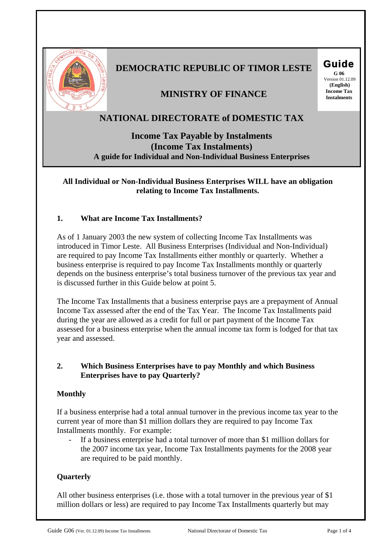

# **DEMOCRATIC REPUBLIC OF TIMOR LESTE Guide**

**ININISTRY OF FINANCE** 

# **NATIONAL DIRECTORATE of DOMESTIC TAX**

**Income Tax Payable by Instalments (Income Tax Instalments) A guide for Individual and Non-Individual Business Enterprises**

**All Individual or Non-Individual Business Enterprises WILL have an obligation relating to Income Tax Installments.** 

# **1. What are Income Tax Installments?**

As of 1 January 2003 the new system of collecting Income Tax Installments was introduced in Timor Leste. All Business Enterprises (Individual and Non-Individual) are required to pay Income Tax Installments either monthly or quarterly. Whether a business enterprise is required to pay Income Tax Installments monthly or quarterly depends on the business enterprise's total business turnover of the previous tax year and is discussed further in this Guide below at point 5.

The Income Tax Installments that a business enterprise pays are a prepayment of Annual Income Tax assessed after the end of the Tax Year. The Income Tax Installments paid during the year are allowed as a credit for full or part payment of the Income Tax assessed for a business enterprise when the annual income tax form is lodged for that tax year and assessed.

## **2. Which Business Enterprises have to pay Monthly and which Business Enterprises have to pay Quarterly?**

## **Monthly**

If a business enterprise had a total annual turnover in the previous income tax year to the current year of more than \$1 million dollars they are required to pay Income Tax Installments monthly. For example:

If a business enterprise had a total turnover of more than \$1 million dollars for the 2007 income tax year, Income Tax Installments payments for the 2008 year are required to be paid monthly.

## **Quarterly**

All other business enterprises (i.e. those with a total turnover in the previous year of \$1 million dollars or less) are required to pay Income Tax Installments quarterly but may

 Version 01.12.09  **(English)**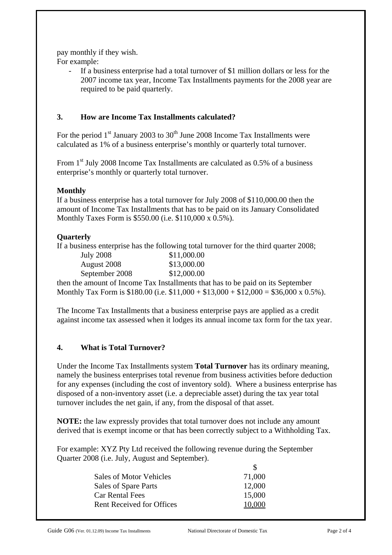pay monthly if they wish.

For example:

- If a business enterprise had a total turnover of \$1 million dollars or less for the 2007 income tax year, Income Tax Installments payments for the 2008 year are required to be paid quarterly.

# **3. How are Income Tax Installments calculated?**

For the period  $1<sup>st</sup>$  January 2003 to 30<sup>th</sup> June 2008 Income Tax Installments were calculated as 1% of a business enterprise's monthly or quarterly total turnover.

From 1<sup>st</sup> July 2008 Income Tax Installments are calculated as 0.5% of a business enterprise's monthly or quarterly total turnover.

# **Monthly**

If a business enterprise has a total turnover for July 2008 of \$110,000.00 then the amount of Income Tax Installments that has to be paid on its January Consolidated Monthly Taxes Form is \$550.00 (i.e. \$110,000 x 0.5%).

# **Quarterly**

If a business enterprise has the following total turnover for the third quarter 2008;

| July 2008      | \$11,000.00 |
|----------------|-------------|
| August 2008    | \$13,000.00 |
| September 2008 | \$12,000.00 |

then the amount of Income Tax Installments that has to be paid on its September Monthly Tax Form is \$180.00 (i.e.  $$11,000 + $13,000 + $12,000 = $36,000 \times 0.5\%$ ).

The Income Tax Installments that a business enterprise pays are applied as a credit against income tax assessed when it lodges its annual income tax form for the tax year.

# **4. What is Total Turnover?**

Under the Income Tax Installments system **Total Turnover** has its ordinary meaning, namely the business enterprises total revenue from business activities before deduction for any expenses (including the cost of inventory sold). Where a business enterprise has disposed of a non-inventory asset (i.e. a depreciable asset) during the tax year total turnover includes the net gain, if any, from the disposal of that asset.

**NOTE:** the law expressly provides that total turnover does not include any amount derived that is exempt income or that has been correctly subject to a Withholding Tax.

For example: XYZ Pty Ltd received the following revenue during the September Quarter 2008 (i.e. July, August and September).

| Sales of Motor Vehicles          | 71,000 |
|----------------------------------|--------|
| Sales of Spare Parts             | 12,000 |
| <b>Car Rental Fees</b>           | 15,000 |
| <b>Rent Received for Offices</b> | 10.000 |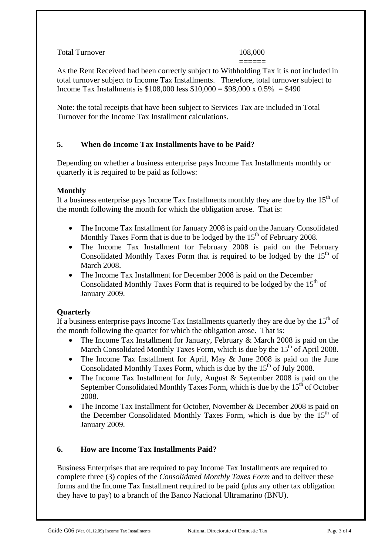## Total Turnover 108,000

 ====== As the Rent Received had been correctly subject to Withholding Tax it is not included in total turnover subject to Income Tax Installments. Therefore, total turnover subject to Income Tax Installments is  $$108,000$  less  $$10,000 = $98,000 \times 0.5\% = $490$ 

Note: the total receipts that have been subject to Services Tax are included in Total Turnover for the Income Tax Installment calculations.

# **5. When do Income Tax Installments have to be Paid?**

Depending on whether a business enterprise pays Income Tax Installments monthly or quarterly it is required to be paid as follows:

## **Monthly**

If a business enterprise pays Income Tax Installments monthly they are due by the  $15<sup>th</sup>$  of the month following the month for which the obligation arose. That is:

- The Income Tax Installment for January 2008 is paid on the January Consolidated Monthly Taxes Form that is due to be lodged by the  $15<sup>th</sup>$  of February 2008.
- The Income Tax Installment for February 2008 is paid on the February Consolidated Monthly Taxes Form that is required to be lodged by the  $15<sup>th</sup>$  of March 2008.
- The Income Tax Installment for December 2008 is paid on the December Consolidated Monthly Taxes Form that is required to be lodged by the  $15<sup>th</sup>$  of January 2009.

## **Quarterly**

If a business enterprise pays Income Tax Installments quarterly they are due by the  $15<sup>th</sup>$  of the month following the quarter for which the obligation arose. That is:

- The Income Tax Installment for January, February & March 2008 is paid on the March Consolidated Monthly Taxes Form, which is due by the  $15<sup>th</sup>$  of April 2008.
- The Income Tax Installment for April, May & June 2008 is paid on the June Consolidated Monthly Taxes Form, which is due by the  $15<sup>th</sup>$  of July 2008.
- The Income Tax Installment for July, August & September 2008 is paid on the September Consolidated Monthly Taxes Form, which is due by the  $15<sup>th</sup>$  of October 2008.
- The Income Tax Installment for October, November & December 2008 is paid on the December Consolidated Monthly Taxes Form, which is due by the  $15<sup>th</sup>$  of January 2009.

## **6. How are Income Tax Installments Paid?**

Business Enterprises that are required to pay Income Tax Installments are required to complete three (3) copies of the *Consolidated Monthly Taxes Form* and to deliver these forms and the Income Tax Installment required to be paid (plus any other tax obligation they have to pay) to a branch of the Banco Nacional Ultramarino (BNU).